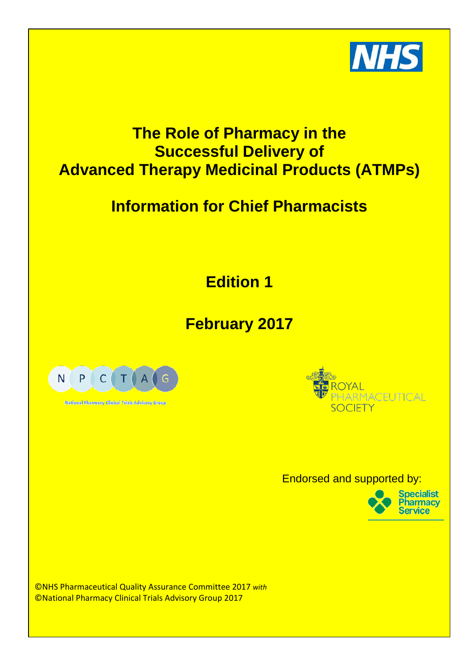

## **The Role of Pharmacy in the Successful Delivery of Advanced Therapy Medicinal Products (ATMPs)**

# **Information for Chief Pharmacists**

**Edition 1**

## **February 2017**



National Pharmacy Chaical Trials Advisory Group



Endorsed and supported by:



©NHS Pharmaceutical Quality Assurance Committee 2017 *with* ©National Pharmacy Clinical Trials Advisory Group 2017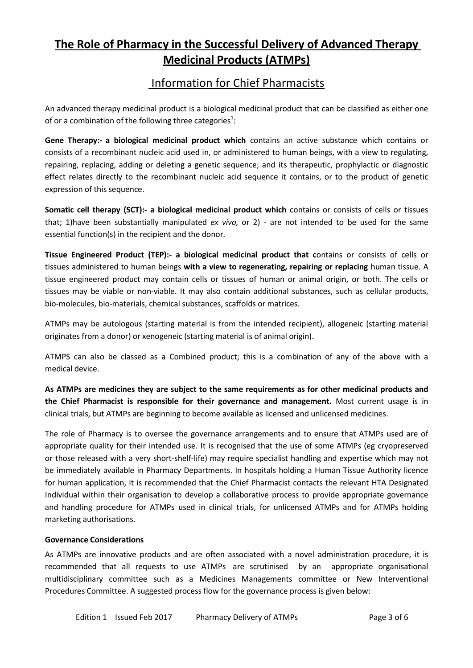## **The Role of Pharmacy in the Successful Delivery of Advanced Therapy Medicinal Products (ATMPs)**

## Information for Chief Pharmacists

An advanced therapy medicinal product is a biological medicinal product that can be classified as either one of or a combination of the following three categories $^1$ :

**Gene Therapy:- a biological medicinal product which** contains an active substance which contains or consists of a recombinant nucleic acid used in, or administered to human beings, with a view to regulating, repairing, replacing, adding or deleting a genetic sequence; and its therapeutic, prophylactic or diagnostic effect relates directly to the recombinant nucleic acid sequence it contains, or to the product of genetic expression of this sequence.

**Somatic cell therapy (SCT):- a biological medicinal product which** contains or consists of cells or tissues that; 1)have been substantially manipulated *ex vivo,* or 2) - are not intended to be used for the same essential function(s) in the recipient and the donor.

**Tissue Engineered Product (TEP):- a biological medicinal product that c**ontains or consists of cells or tissues administered to human beings **with a view to regenerating, repairing or replacing** human tissue. A tissue engineered product may contain cells or tissues of human or animal origin, or both. The cells or tissues may be viable or non-viable. It may also contain additional substances, such as cellular products, bio-molecules, bio-materials, chemical substances, scaffolds or matrices.

ATMPs may be autologous (starting material is from the intended recipient), allogeneic (starting material originates from a donor) or xenogeneic (starting material is of animal origin).

ATMPS can also be classed as a Combined product; this is a combination of any of the above with a medical device.

**As ATMPs are medicines they are subject to the same requirements as for other medicinal products and the Chief Pharmacist is responsible for their governance and management.** Most current usage is in clinical trials, but ATMPs are beginning to become available as licensed and unlicensed medicines.

The role of Pharmacy is to oversee the governance arrangements and to ensure that ATMPs used are of appropriate quality for their intended use. It is recognised that the use of some ATMPs (eg cryopreserved or those released with a very short-shelf-life) may require specialist handling and expertise which may not be immediately available in Pharmacy Departments. In hospitals holding a Human Tissue Authority licence for human application, it is recommended that the Chief Pharmacist contacts the relevant HTA Designated Individual within their organisation to develop a collaborative process to provide appropriate governance and handling procedure for ATMPs used in clinical trials, for unlicensed ATMPs and for ATMPs holding marketing authorisations.

### **Governance Considerations**

As ATMPs are innovative products and are often associated with a novel administration procedure, it is recommended that all requests to use ATMPs are scrutinised by an appropriate organisational multidisciplinary committee such as a Medicines Managements committee or New Interventional Procedures Committee. A suggested process flow for the governance process is given below: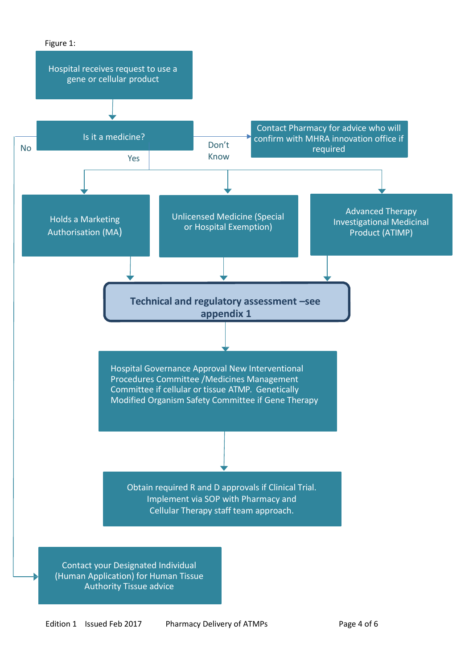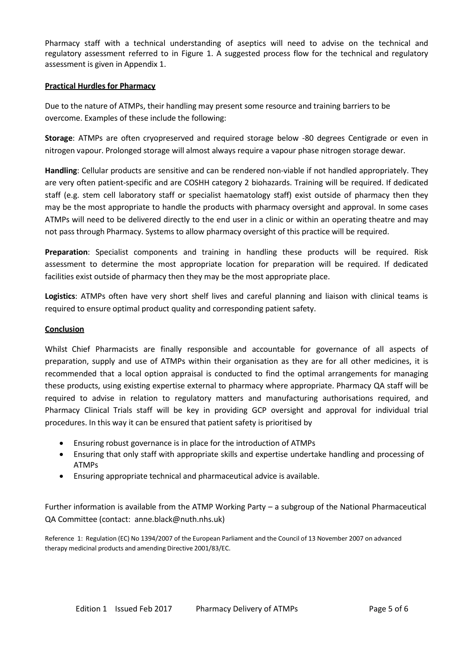Pharmacy staff with a technical understanding of aseptics will need to advise on the technical and regulatory assessment referred to in Figure 1. A suggested process flow for the technical and regulatory assessment is given in Appendix 1.

### **Practical Hurdles for Pharmacy**

Due to the nature of ATMPs, their handling may present some resource and training barriers to be overcome. Examples of these include the following:

**Storage**: ATMPs are often cryopreserved and required storage below -80 degrees Centigrade or even in nitrogen vapour. Prolonged storage will almost always require a vapour phase nitrogen storage dewar.

**Handling**: Cellular products are sensitive and can be rendered non-viable if not handled appropriately. They are very often patient-specific and are COSHH category 2 biohazards. Training will be required. If dedicated staff (e.g. stem cell laboratory staff or specialist haematology staff) exist outside of pharmacy then they may be the most appropriate to handle the products with pharmacy oversight and approval. In some cases ATMPs will need to be delivered directly to the end user in a clinic or within an operating theatre and may not pass through Pharmacy. Systems to allow pharmacy oversight of this practice will be required.

**Preparation**: Specialist components and training in handling these products will be required. Risk assessment to determine the most appropriate location for preparation will be required. If dedicated facilities exist outside of pharmacy then they may be the most appropriate place.

**Logistics**: ATMPs often have very short shelf lives and careful planning and liaison with clinical teams is required to ensure optimal product quality and corresponding patient safety.

#### **Conclusion**

Whilst Chief Pharmacists are finally responsible and accountable for governance of all aspects of preparation, supply and use of ATMPs within their organisation as they are for all other medicines, it is recommended that a local option appraisal is conducted to find the optimal arrangements for managing these products, using existing expertise external to pharmacy where appropriate. Pharmacy QA staff will be required to advise in relation to regulatory matters and manufacturing authorisations required, and Pharmacy Clinical Trials staff will be key in providing GCP oversight and approval for individual trial procedures. In this way it can be ensured that patient safety is prioritised by

- Ensuring robust governance is in place for the introduction of ATMPs
- Ensuring that only staff with appropriate skills and expertise undertake handling and processing of ATMPs
- Ensuring appropriate technical and pharmaceutical advice is available.

Further information is available from the ATMP Working Party – a subgroup of the National Pharmaceutical QA Committee (contact: anne.black@nuth.nhs.uk)

Reference 1: Regulation (EC) No 1394/2007 of the European Parliament and the Council of 13 November 2007 on advanced therapy medicinal products and amending Directive 2001/83/EC.